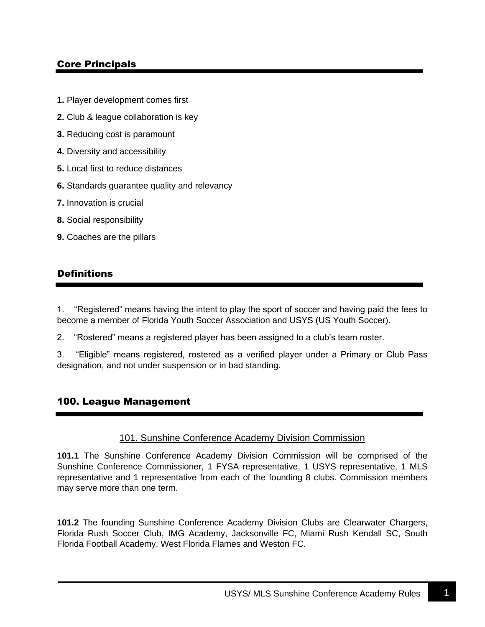# Core Principals

- **1.** Player development comes first
- **2.** Club & league collaboration is key
- **3.** Reducing cost is paramount
- **4.** Diversity and accessibility
- **5.** Local first to reduce distances
- **6.** Standards guarantee quality and relevancy
- **7.** Innovation is crucial
- **8.** Social responsibility
- **9.** Coaches are the pillars

## **Definitions**

1. "Registered" means having the intent to play the sport of soccer and having paid the fees to become a member of Florida Youth Soccer Association and USYS (US Youth Soccer).

2. "Rostered" means a registered player has been assigned to a club's team roster.

3. "Eligible" means registered, rostered as a verified player under a Primary or Club Pass designation, and not under suspension or in bad standing.

#### 100. League Management

#### 101. Sunshine Conference Academy Division Commission

**101.1** The Sunshine Conference Academy Division Commission will be comprised of the Sunshine Conference Commissioner, 1 FYSA representative, 1 USYS representative, 1 MLS representative and 1 representative from each of the founding 8 clubs. Commission members may serve more than one term.

**101.2** The founding Sunshine Conference Academy Division Clubs are Clearwater Chargers, Florida Rush Soccer Club, IMG Academy, Jacksonville FC, Miami Rush Kendall SC, South Florida Football Academy, West Florida Flames and Weston FC.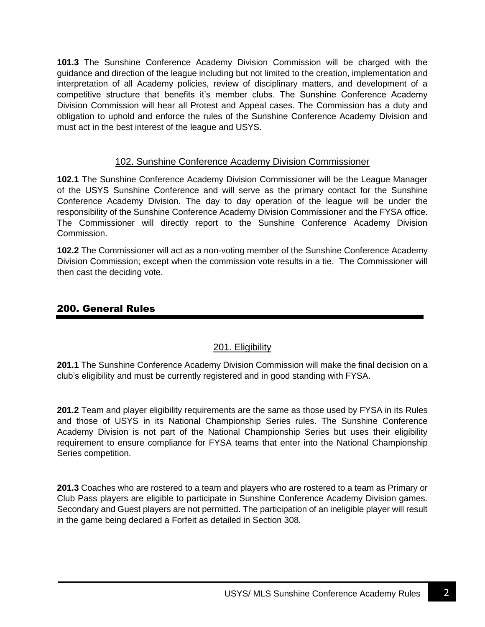**101.3** The Sunshine Conference Academy Division Commission will be charged with the guidance and direction of the league including but not limited to the creation, implementation and interpretation of all Academy policies, review of disciplinary matters, and development of a competitive structure that benefits it's member clubs. The Sunshine Conference Academy Division Commission will hear all Protest and Appeal cases. The Commission has a duty and obligation to uphold and enforce the rules of the Sunshine Conference Academy Division and must act in the best interest of the league and USYS.

### 102. Sunshine Conference Academy Division Commissioner

**102.1** The Sunshine Conference Academy Division Commissioner will be the League Manager of the USYS Sunshine Conference and will serve as the primary contact for the Sunshine Conference Academy Division. The day to day operation of the league will be under the responsibility of the Sunshine Conference Academy Division Commissioner and the FYSA office. The Commissioner will directly report to the Sunshine Conference Academy Division Commission.

**102.2** The Commissioner will act as a non-voting member of the Sunshine Conference Academy Division Commission; except when the commission vote results in a tie. The Commissioner will then cast the deciding vote.

# 200. General Rules

## 201. Eligibility

**201.1** The Sunshine Conference Academy Division Commission will make the final decision on a club's eligibility and must be currently registered and in good standing with FYSA.

**201.2** Team and player eligibility requirements are the same as those used by FYSA in its Rules and those of USYS in its National Championship Series rules. The Sunshine Conference Academy Division is not part of the National Championship Series but uses their eligibility requirement to ensure compliance for FYSA teams that enter into the National Championship Series competition.

**201.3** Coaches who are rostered to a team and players who are rostered to a team as Primary or Club Pass players are eligible to participate in Sunshine Conference Academy Division games. Secondary and Guest players are not permitted. The participation of an ineligible player will result in the game being declared a Forfeit as detailed in Section 308.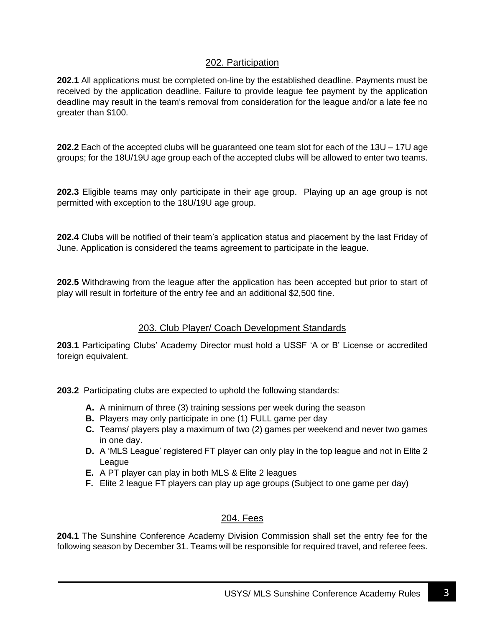## 202. Participation

**202.1** All applications must be completed on-line by the established deadline. Payments must be received by the application deadline. Failure to provide league fee payment by the application deadline may result in the team's removal from consideration for the league and/or a late fee no greater than \$100.

**202.2** Each of the accepted clubs will be guaranteed one team slot for each of the 13U – 17U age groups; for the 18U/19U age group each of the accepted clubs will be allowed to enter two teams.

**202.3** Eligible teams may only participate in their age group. Playing up an age group is not permitted with exception to the 18U/19U age group.

**202.4** Clubs will be notified of their team's application status and placement by the last Friday of June. Application is considered the teams agreement to participate in the league.

**202.5** Withdrawing from the league after the application has been accepted but prior to start of play will result in forfeiture of the entry fee and an additional \$2,500 fine.

#### 203. Club Player/ Coach Development Standards

**203.1** Participating Clubs' Academy Director must hold a USSF 'A or B' License or accredited foreign equivalent.

**203.2** Participating clubs are expected to uphold the following standards:

- **A.** A minimum of three (3) training sessions per week during the season
- **B.** Players may only participate in one (1) FULL game per day
- **C.** Teams/ players play a maximum of two (2) games per weekend and never two games in one day.
- **D.** A 'MLS League' registered FT player can only play in the top league and not in Elite 2 League
- **E.** A PT player can play in both MLS & Elite 2 leagues
- **F.** Elite 2 league FT players can play up age groups (Subject to one game per day)

#### 204. Fees

**204.1** The Sunshine Conference Academy Division Commission shall set the entry fee for the following season by December 31. Teams will be responsible for required travel, and referee fees.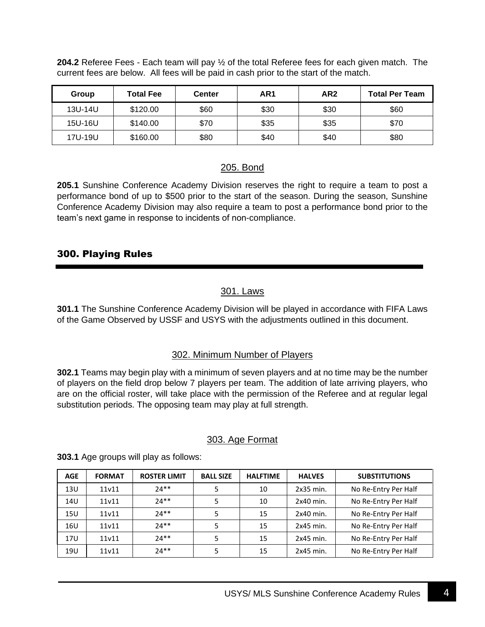**204.2** Referee Fees - Each team will pay ½ of the total Referee fees for each given match. The current fees are below. All fees will be paid in cash prior to the start of the match.

| Group   | <b>Total Fee</b> | <b>Center</b> | AR <sub>1</sub> | AR <sub>2</sub> | <b>Total Per Team</b> |
|---------|------------------|---------------|-----------------|-----------------|-----------------------|
| 13U-14U | \$120.00         | \$60          | \$30            | \$30            | \$60                  |
| 15U-16U | \$140.00         | \$70          | \$35            | \$35            | \$70                  |
| 17U-19U | \$160.00         | \$80          | \$40            | \$40            | \$80                  |

### 205. Bond

**205.1** Sunshine Conference Academy Division reserves the right to require a team to post a performance bond of up to \$500 prior to the start of the season. During the season, Sunshine Conference Academy Division may also require a team to post a performance bond prior to the team's next game in response to incidents of non-compliance.

### 300. Playing Rules

## 301. Laws

**301.1** The Sunshine Conference Academy Division will be played in accordance with FIFA Laws of the Game Observed by USSF and USYS with the adjustments outlined in this document.

#### 302. Minimum Number of Players

**302.1** Teams may begin play with a minimum of seven players and at no time may be the number of players on the field drop below 7 players per team. The addition of late arriving players, who are on the official roster, will take place with the permission of the Referee and at regular legal substitution periods. The opposing team may play at full strength.

#### 303. Age Format

| <b>AGE</b> | <b>FORMAT</b> | <b>ROSTER LIMIT</b> | <b>BALL SIZE</b> | <b>HALFTIME</b> | <b>HALVES</b> | <b>SUBSTITUTIONS</b> |
|------------|---------------|---------------------|------------------|-----------------|---------------|----------------------|
| 13U        | 11v11         | $74**$              |                  | 10              | $2x35$ min.   | No Re-Entry Per Half |
| 14U        | 11v11         | $74**$              |                  | 10              | $2x40$ min.   | No Re-Entry Per Half |
| <b>15U</b> | 11v11         | $74**$              |                  | 15              | $2x40$ min.   | No Re-Entry Per Half |
| 16U        | 11v11         | $74**$              | 5                | 15              | $2x45$ min.   | No Re-Entry Per Half |
| 17U        | 11v11         | $74**$              | 5                | 15              | $2x45$ min.   | No Re-Entry Per Half |
| 19U        | 11v11         | $74**$              |                  | 15              | $2x45$ min.   | No Re-Entry Per Half |

**303.1** Age groups will play as follows: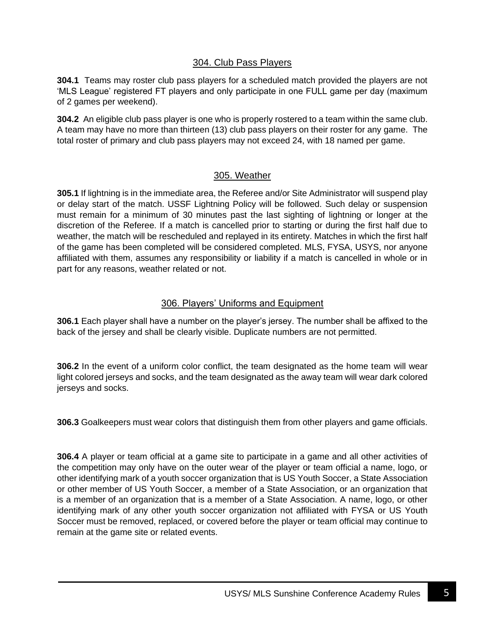### 304. Club Pass Players

**304.1** Teams may roster club pass players for a scheduled match provided the players are not 'MLS League' registered FT players and only participate in one FULL game per day (maximum of 2 games per weekend).

**304.2** An eligible club pass player is one who is properly rostered to a team within the same club. A team may have no more than thirteen (13) club pass players on their roster for any game. The total roster of primary and club pass players may not exceed 24, with 18 named per game.

#### 305. Weather

**305.1** If lightning is in the immediate area, the Referee and/or Site Administrator will suspend play or delay start of the match. USSF Lightning Policy will be followed. Such delay or suspension must remain for a minimum of 30 minutes past the last sighting of lightning or longer at the discretion of the Referee. If a match is cancelled prior to starting or during the first half due to weather, the match will be rescheduled and replayed in its entirety. Matches in which the first half of the game has been completed will be considered completed. MLS, FYSA, USYS, nor anyone affiliated with them, assumes any responsibility or liability if a match is cancelled in whole or in part for any reasons, weather related or not.

### 306. Players' Uniforms and Equipment

**306.1** Each player shall have a number on the player's jersey. The number shall be affixed to the back of the jersey and shall be clearly visible. Duplicate numbers are not permitted.

**306.2** In the event of a uniform color conflict, the team designated as the home team will wear light colored jerseys and socks, and the team designated as the away team will wear dark colored jerseys and socks.

**306.3** Goalkeepers must wear colors that distinguish them from other players and game officials.

**306.4** A player or team official at a game site to participate in a game and all other activities of the competition may only have on the outer wear of the player or team official a name, logo, or other identifying mark of a youth soccer organization that is US Youth Soccer, a State Association or other member of US Youth Soccer, a member of a State Association, or an organization that is a member of an organization that is a member of a State Association. A name, logo, or other identifying mark of any other youth soccer organization not affiliated with FYSA or US Youth Soccer must be removed, replaced, or covered before the player or team official may continue to remain at the game site or related events.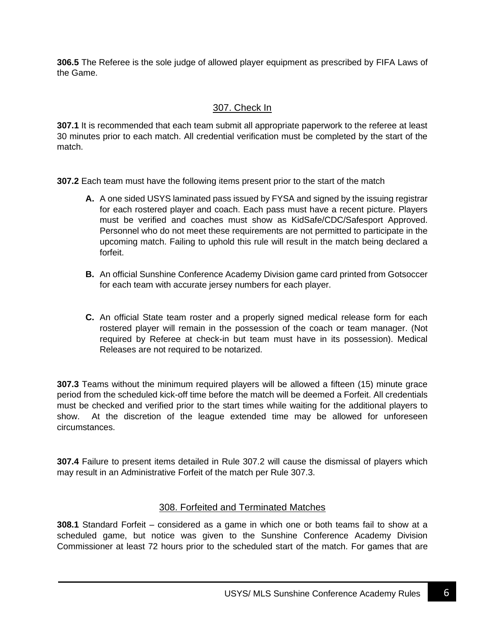**306.5** The Referee is the sole judge of allowed player equipment as prescribed by FIFA Laws of the Game.

# 307. Check In

**307.1** It is recommended that each team submit all appropriate paperwork to the referee at least 30 minutes prior to each match. All credential verification must be completed by the start of the match.

**307.2** Each team must have the following items present prior to the start of the match

- **A.** A one sided USYS laminated pass issued by FYSA and signed by the issuing registrar for each rostered player and coach. Each pass must have a recent picture. Players must be verified and coaches must show as KidSafe/CDC/Safesport Approved. Personnel who do not meet these requirements are not permitted to participate in the upcoming match. Failing to uphold this rule will result in the match being declared a forfeit.
- **B.** An official Sunshine Conference Academy Division game card printed from Gotsoccer for each team with accurate jersey numbers for each player.
- **C.** An official State team roster and a properly signed medical release form for each rostered player will remain in the possession of the coach or team manager. (Not required by Referee at check-in but team must have in its possession). Medical Releases are not required to be notarized.

**307.3** Teams without the minimum required players will be allowed a fifteen (15) minute grace period from the scheduled kick-off time before the match will be deemed a Forfeit. All credentials must be checked and verified prior to the start times while waiting for the additional players to show. At the discretion of the league extended time may be allowed for unforeseen circumstances.

**307.4** Failure to present items detailed in Rule 307.2 will cause the dismissal of players which may result in an Administrative Forfeit of the match per Rule 307.3.

## 308. Forfeited and Terminated Matches

**308.1** Standard Forfeit – considered as a game in which one or both teams fail to show at a scheduled game, but notice was given to the Sunshine Conference Academy Division Commissioner at least 72 hours prior to the scheduled start of the match. For games that are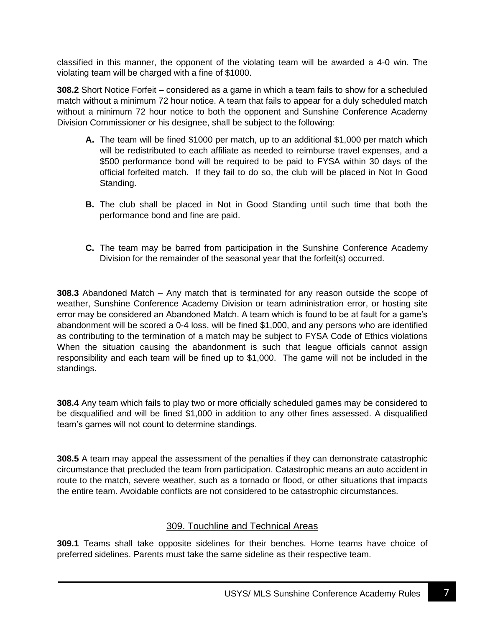classified in this manner, the opponent of the violating team will be awarded a 4-0 win. The violating team will be charged with a fine of \$1000.

**308.2** Short Notice Forfeit – considered as a game in which a team fails to show for a scheduled match without a minimum 72 hour notice. A team that fails to appear for a duly scheduled match without a minimum 72 hour notice to both the opponent and Sunshine Conference Academy Division Commissioner or his designee, shall be subject to the following:

- **A.** The team will be fined \$1000 per match, up to an additional \$1,000 per match which will be redistributed to each affiliate as needed to reimburse travel expenses, and a \$500 performance bond will be required to be paid to FYSA within 30 days of the official forfeited match. If they fail to do so, the club will be placed in Not In Good Standing.
- **B.** The club shall be placed in Not in Good Standing until such time that both the performance bond and fine are paid.
- **C.** The team may be barred from participation in the Sunshine Conference Academy Division for the remainder of the seasonal year that the forfeit(s) occurred.

**308.3** Abandoned Match – Any match that is terminated for any reason outside the scope of weather, Sunshine Conference Academy Division or team administration error, or hosting site error may be considered an Abandoned Match. A team which is found to be at fault for a game's abandonment will be scored a 0-4 loss, will be fined \$1,000, and any persons who are identified as contributing to the termination of a match may be subject to FYSA Code of Ethics violations When the situation causing the abandonment is such that league officials cannot assign responsibility and each team will be fined up to \$1,000. The game will not be included in the standings.

**308.4** Any team which fails to play two or more officially scheduled games may be considered to be disqualified and will be fined \$1,000 in addition to any other fines assessed. A disqualified team's games will not count to determine standings.

**308.5** A team may appeal the assessment of the penalties if they can demonstrate catastrophic circumstance that precluded the team from participation. Catastrophic means an auto accident in route to the match, severe weather, such as a tornado or flood, or other situations that impacts the entire team. Avoidable conflicts are not considered to be catastrophic circumstances.

## 309. Touchline and Technical Areas

**309.1** Teams shall take opposite sidelines for their benches. Home teams have choice of preferred sidelines. Parents must take the same sideline as their respective team.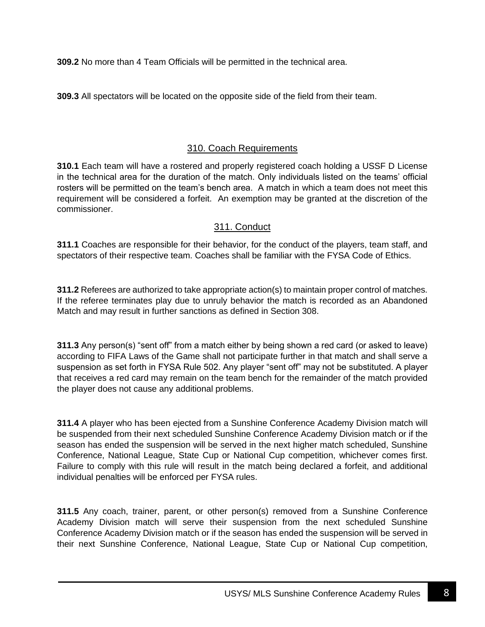**309.2** No more than 4 Team Officials will be permitted in the technical area.

**309.3** All spectators will be located on the opposite side of the field from their team.

# 310. Coach Requirements

**310.1** Each team will have a rostered and properly registered coach holding a USSF D License in the technical area for the duration of the match. Only individuals listed on the teams' official rosters will be permitted on the team's bench area. A match in which a team does not meet this requirement will be considered a forfeit. An exemption may be granted at the discretion of the commissioner.

# 311. Conduct

**311.1** Coaches are responsible for their behavior, for the conduct of the players, team staff, and spectators of their respective team. Coaches shall be familiar with the FYSA Code of Ethics.

**311.2** Referees are authorized to take appropriate action(s) to maintain proper control of matches. If the referee terminates play due to unruly behavior the match is recorded as an Abandoned Match and may result in further sanctions as defined in Section 308.

**311.3** Any person(s) "sent off" from a match either by being shown a red card (or asked to leave) according to FIFA Laws of the Game shall not participate further in that match and shall serve a suspension as set forth in FYSA Rule 502. Any player "sent off" may not be substituted. A player that receives a red card may remain on the team bench for the remainder of the match provided the player does not cause any additional problems.

**311.4** A player who has been ejected from a Sunshine Conference Academy Division match will be suspended from their next scheduled Sunshine Conference Academy Division match or if the season has ended the suspension will be served in the next higher match scheduled, Sunshine Conference, National League, State Cup or National Cup competition, whichever comes first. Failure to comply with this rule will result in the match being declared a forfeit, and additional individual penalties will be enforced per FYSA rules.

**311.5** Any coach, trainer, parent, or other person(s) removed from a Sunshine Conference Academy Division match will serve their suspension from the next scheduled Sunshine Conference Academy Division match or if the season has ended the suspension will be served in their next Sunshine Conference, National League, State Cup or National Cup competition,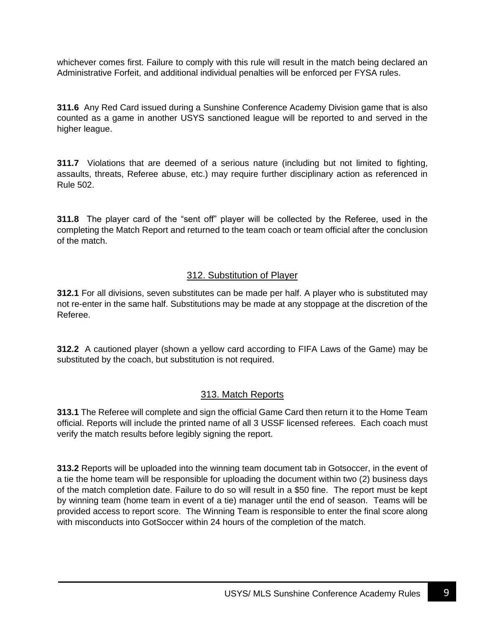whichever comes first. Failure to comply with this rule will result in the match being declared an Administrative Forfeit, and additional individual penalties will be enforced per FYSA rules.

**311.6** Any Red Card issued during a Sunshine Conference Academy Division game that is also counted as a game in another USYS sanctioned league will be reported to and served in the higher league.

**311.7** Violations that are deemed of a serious nature (including but not limited to fighting, assaults, threats, Referee abuse, etc.) may require further disciplinary action as referenced in Rule 502.

**311.8** The player card of the "sent off" player will be collected by the Referee, used in the completing the Match Report and returned to the team coach or team official after the conclusion of the match.

#### 312. Substitution of Player

**312.1** For all divisions, seven substitutes can be made per half. A player who is substituted may not re-enter in the same half. Substitutions may be made at any stoppage at the discretion of the Referee.

**312.2** A cautioned player (shown a yellow card according to FIFA Laws of the Game) may be substituted by the coach, but substitution is not required.

#### 313. Match Reports

**313.1** The Referee will complete and sign the official Game Card then return it to the Home Team official. Reports will include the printed name of all 3 USSF licensed referees. Each coach must verify the match results before legibly signing the report.

**313.2** Reports will be uploaded into the winning team document tab in Gotsoccer, in the event of a tie the home team will be responsible for uploading the document within two (2) business days of the match completion date. Failure to do so will result in a \$50 fine. The report must be kept by winning team (home team in event of a tie) manager until the end of season. Teams will be provided access to report score. The Winning Team is responsible to enter the final score along with misconducts into GotSoccer within 24 hours of the completion of the match.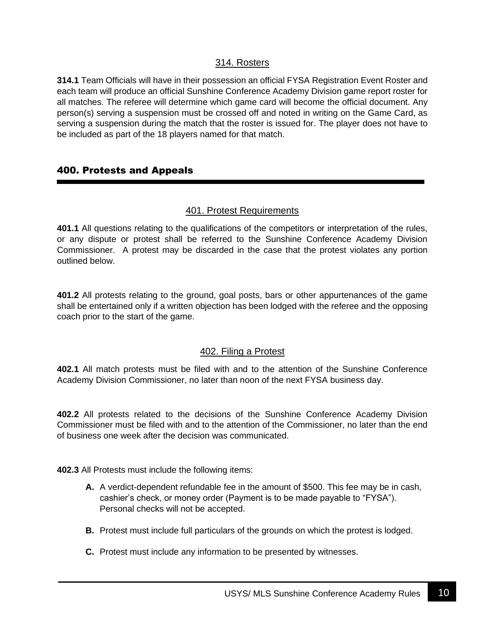### 314. Rosters

**314.1** Team Officials will have in their possession an official FYSA Registration Event Roster and each team will produce an official Sunshine Conference Academy Division game report roster for all matches. The referee will determine which game card will become the official document. Any person(s) serving a suspension must be crossed off and noted in writing on the Game Card, as serving a suspension during the match that the roster is issued for. The player does not have to be included as part of the 18 players named for that match.

### 400. Protests and Appeals

#### 401. Protest Requirements

**401.1** All questions relating to the qualifications of the competitors or interpretation of the rules, or any dispute or protest shall be referred to the Sunshine Conference Academy Division Commissioner. A protest may be discarded in the case that the protest violates any portion outlined below.

**401.2** All protests relating to the ground, goal posts, bars or other appurtenances of the game shall be entertained only if a written objection has been lodged with the referee and the opposing coach prior to the start of the game.

#### 402. Filing a Protest

**402.1** All match protests must be filed with and to the attention of the Sunshine Conference Academy Division Commissioner, no later than noon of the next FYSA business day.

**402.2** All protests related to the decisions of the Sunshine Conference Academy Division Commissioner must be filed with and to the attention of the Commissioner, no later than the end of business one week after the decision was communicated.

**402.3** All Protests must include the following items:

- **A.** A verdict-dependent refundable fee in the amount of \$500. This fee may be in cash, cashier's check, or money order (Payment is to be made payable to "FYSA"). Personal checks will not be accepted.
- **B.** Protest must include full particulars of the grounds on which the protest is lodged.
- **C.** Protest must include any information to be presented by witnesses.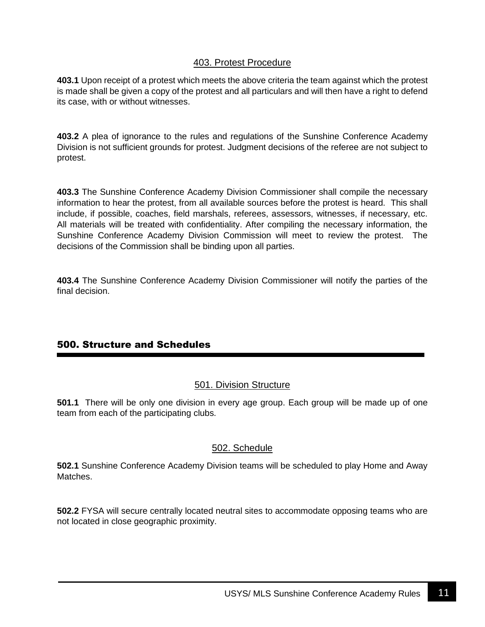### 403. Protest Procedure

**403.1** Upon receipt of a protest which meets the above criteria the team against which the protest is made shall be given a copy of the protest and all particulars and will then have a right to defend its case, with or without witnesses.

**403.2** A plea of ignorance to the rules and regulations of the Sunshine Conference Academy Division is not sufficient grounds for protest. Judgment decisions of the referee are not subject to protest.

**403.3** The Sunshine Conference Academy Division Commissioner shall compile the necessary information to hear the protest, from all available sources before the protest is heard. This shall include, if possible, coaches, field marshals, referees, assessors, witnesses, if necessary, etc. All materials will be treated with confidentiality. After compiling the necessary information, the Sunshine Conference Academy Division Commission will meet to review the protest. The decisions of the Commission shall be binding upon all parties.

**403.4** The Sunshine Conference Academy Division Commissioner will notify the parties of the final decision.

## 500. Structure and Schedules

## 501. Division Structure

**501.1** There will be only one division in every age group. Each group will be made up of one team from each of the participating clubs.

#### 502. Schedule

**502.1** Sunshine Conference Academy Division teams will be scheduled to play Home and Away Matches.

**502.2** FYSA will secure centrally located neutral sites to accommodate opposing teams who are not located in close geographic proximity.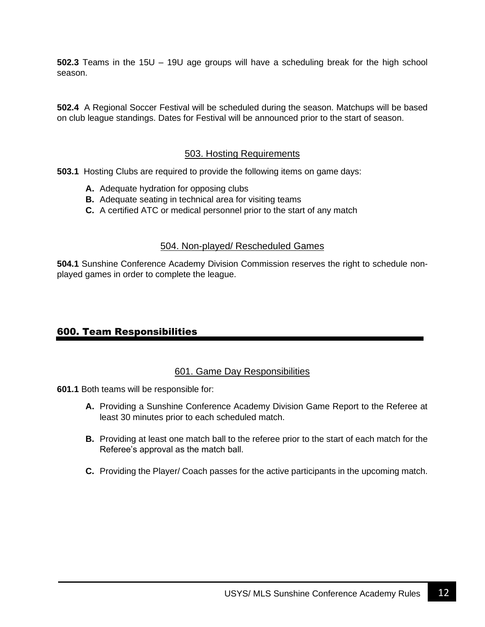**502.3** Teams in the 15U – 19U age groups will have a scheduling break for the high school season.

**502.4** A Regional Soccer Festival will be scheduled during the season. Matchups will be based on club league standings. Dates for Festival will be announced prior to the start of season.

#### 503. Hosting Requirements

**503.1** Hosting Clubs are required to provide the following items on game days:

- **A.** Adequate hydration for opposing clubs
- **B.** Adequate seating in technical area for visiting teams
- **C.** A certified ATC or medical personnel prior to the start of any match

#### 504. Non-played/ Rescheduled Games

**504.1** Sunshine Conference Academy Division Commission reserves the right to schedule nonplayed games in order to complete the league.

#### 600. Team Responsibilities

#### 601. Game Day Responsibilities

**601.1** Both teams will be responsible for:

- **A.** Providing a Sunshine Conference Academy Division Game Report to the Referee at least 30 minutes prior to each scheduled match.
- **B.** Providing at least one match ball to the referee prior to the start of each match for the Referee's approval as the match ball.
- **C.** Providing the Player/ Coach passes for the active participants in the upcoming match.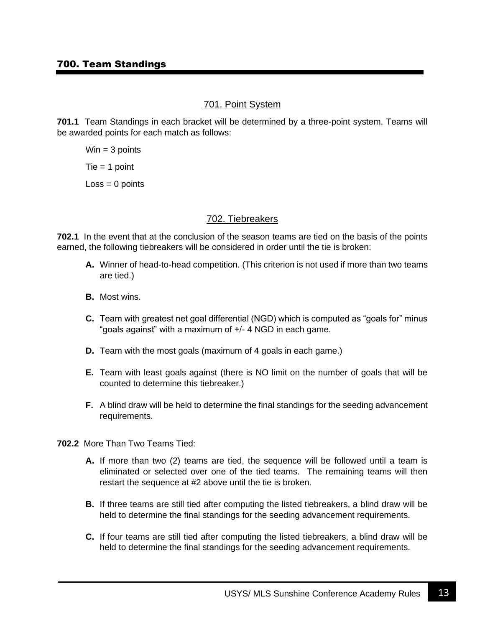#### 701. Point System

**701.1** Team Standings in each bracket will be determined by a three-point system. Teams will be awarded points for each match as follows:

 $Win = 3 points$  $Tie = 1$  point

 $Loss = 0$  points

#### 702. Tiebreakers

**702.1** In the event that at the conclusion of the season teams are tied on the basis of the points earned, the following tiebreakers will be considered in order until the tie is broken:

- **A.** Winner of head-to-head competition. (This criterion is not used if more than two teams are tied.)
- **B.** Most wins.
- **C.** Team with greatest net goal differential (NGD) which is computed as "goals for" minus "goals against" with a maximum of +/- 4 NGD in each game.
- **D.** Team with the most goals (maximum of 4 goals in each game.)
- **E.** Team with least goals against (there is NO limit on the number of goals that will be counted to determine this tiebreaker.)
- **F.** A blind draw will be held to determine the final standings for the seeding advancement requirements.
- **702.2** More Than Two Teams Tied:
	- **A.** If more than two (2) teams are tied, the sequence will be followed until a team is eliminated or selected over one of the tied teams. The remaining teams will then restart the sequence at #2 above until the tie is broken.
	- **B.** If three teams are still tied after computing the listed tiebreakers, a blind draw will be held to determine the final standings for the seeding advancement requirements.
	- **C.** If four teams are still tied after computing the listed tiebreakers, a blind draw will be held to determine the final standings for the seeding advancement requirements.